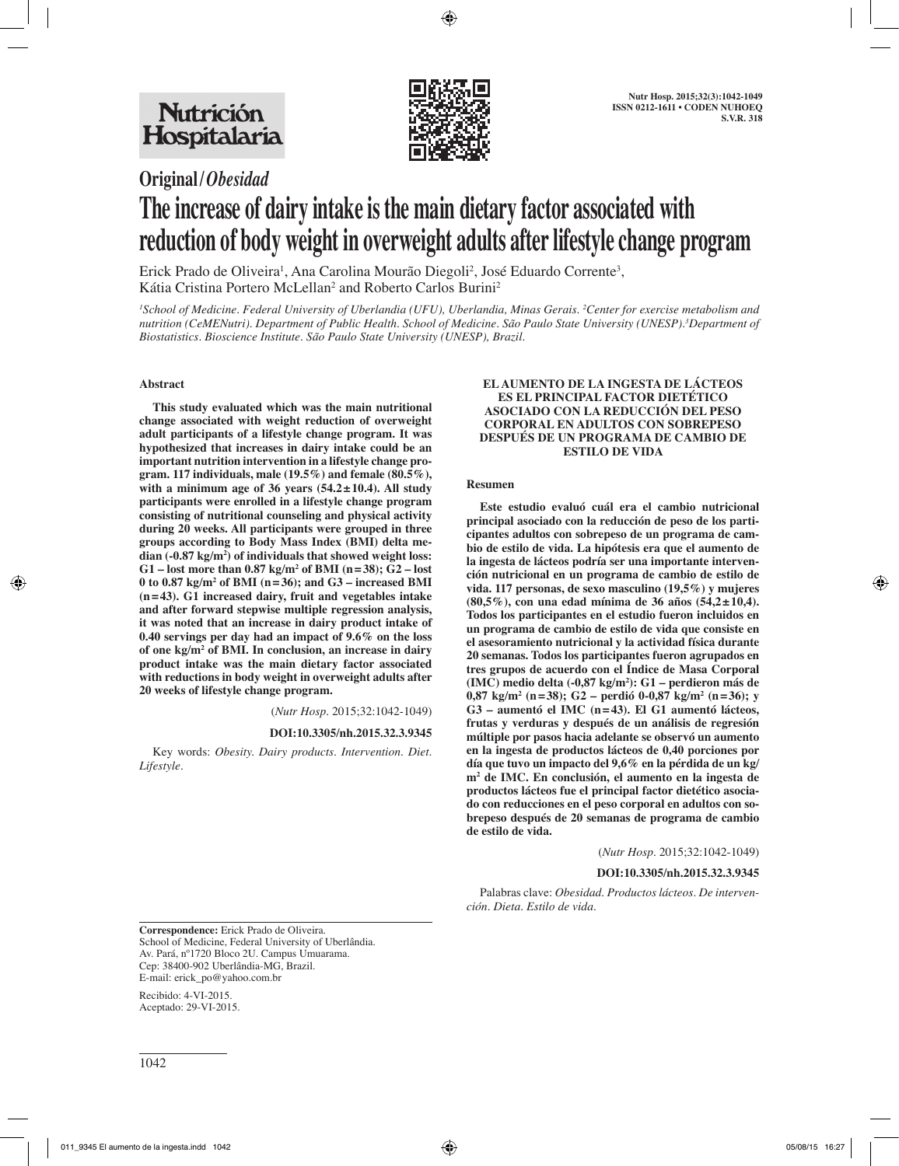

# **Original/***Obesidad*

# **The increase of dairy intake is the main dietary factor associated with reduction of body weight in overweight adults after lifestyle change program**

Erick Prado de Oliveira<sup>1</sup>, Ana Carolina Mourão Diegoli<sup>2</sup>, José Eduardo Corrente<sup>3</sup>, Kátia Cristina Portero McLellan<sup>2</sup> and Roberto Carlos Burini<sup>2</sup>

*1 School of Medicine. Federal University of Uberlandia (UFU), Uberlandia, Minas Gerais. 2 Center for exercise metabolism and nutrition (CeMENutri). Department of Public Health. School of Medicine. São Paulo State University (UNESP).3 Department of Biostatistics. Bioscience Institute. São Paulo State University (UNESP), Brazil.*

## **Abstract**

**This study evaluated which was the main nutritional change associated with weight reduction of overweight adult participants of a lifestyle change program. It was hypothesized that increases in dairy intake could be an important nutrition intervention in a lifestyle change program. 117 individuals, male (19.5%) and female (80.5%), with a minimum age of 36 years (54.2±10.4). All study participants were enrolled in a lifestyle change program consisting of nutritional counseling and physical activity during 20 weeks. All participants were grouped in three groups according to Body Mass Index (BMI) delta median (-0.87 kg/m2 ) of individuals that showed weight loss: G1 – lost more than 0.87 kg/m2 of BMI (n=38); G2 – lost 0 to 0.87 kg/m2 of BMI (n=36); and G3 – increased BMI (n=43). G1 increased dairy, fruit and vegetables intake and after forward stepwise multiple regression analysis, it was noted that an increase in dairy product intake of 0.40 servings per day had an impact of 9.6% on the loss of one kg/m2 of BMI. In conclusion, an increase in dairy product intake was the main dietary factor associated with reductions in body weight in overweight adults after 20 weeks of lifestyle change program.**

(*Nutr Hosp.* 2015;32:1042-1049)

**DOI:10.3305/nh.2015.32.3.9345**

Key words: *Obesity. Dairy products. Intervention. Diet. Lifestyle.*

#### **EL AUMENTO DE LA INGESTA DE LÁCTEOS ES EL PRINCIPAL FACTOR DIETÉTICO ASOCIADO CON LA REDUCCIÓN DEL PESO CORPORAL EN ADULTOS CON SOBREPESO DESPUÉS DE UN PROGRAMA DE CAMBIO DE ESTILO DE VIDA**

#### **Resumen**

**Este estudio evaluó cuál era el cambio nutricional principal asociado con la reducción de peso de los participantes adultos con sobrepeso de un programa de cambio de estilo de vida. La hipótesis era que el aumento de la ingesta de lácteos podría ser una importante intervención nutricional en un programa de cambio de estilo de vida. 117 personas, de sexo masculino (19,5%) y mujeres (80,5%), con una edad mínima de 36 años (54,2±10,4). Todos los participantes en el estudio fueron incluidos en un programa de cambio de estilo de vida que consiste en el asesoramiento nutricional y la actividad física durante 20 semanas. Todos los participantes fueron agrupados en tres grupos de acuerdo con el Índice de Masa Corporal (IMC) medio delta (-0,87 kg/m2 ): G1 – perdieron más de 0,87 kg/m2 (n=38); G2 – perdió 0-0,87 kg/m2 (n=36); y G3 – aumentó el IMC (n=43). El G1 aumentó lácteos, frutas y verduras y después de un análisis de regresión múltiple por pasos hacia adelante se observó un aumento en la ingesta de productos lácteos de 0,40 porciones por día que tuvo un impacto del 9,6% en la pérdida de un kg/ m2 de IMC. En conclusión, el aumento en la ingesta de productos lácteos fue el principal factor dietético asociado con reducciones en el peso corporal en adultos con sobrepeso después de 20 semanas de programa de cambio de estilo de vida.**

(*Nutr Hosp.* 2015;32:1042-1049)

#### **DOI:10.3305/nh.2015.32.3.9345**

Palabras clave: *Obesidad. Productos lácteos. De intervención. Dieta. Estilo de vida.*

**Correspondence:** Erick Prado de Oliveira. School of Medicine, Federal University of Uberlândia. Av. Pará, nº1720 Bloco 2U. Campus Umuarama. Cep: 38400-902 Uberlândia-MG, Brazil. E-mail: erick\_po@yahoo.com.br

Recibido: 4-VI-2015. Aceptado: 29-VI-2015.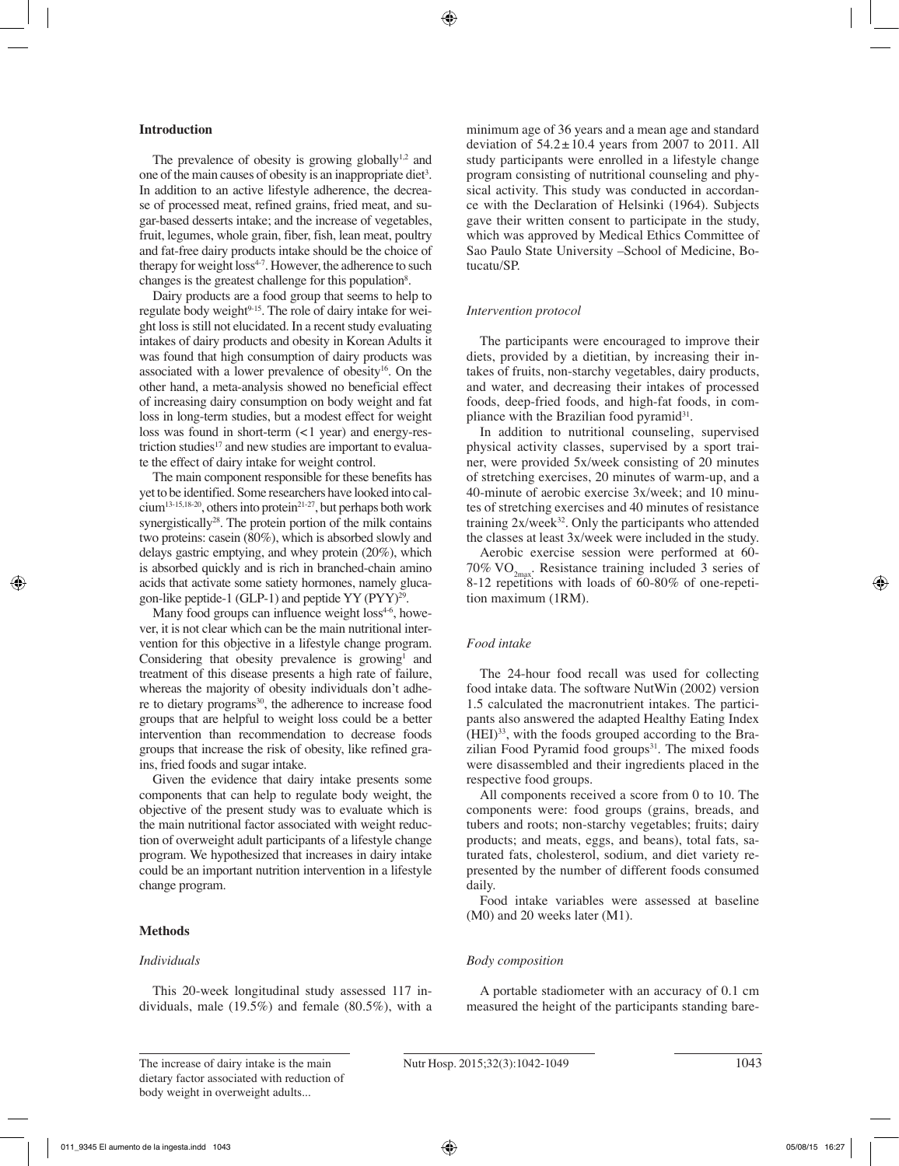#### **Introduction**

The prevalence of obesity is growing globally $1,2$  and one of the main causes of obesity is an inappropriate diet<sup>3</sup>. In addition to an active lifestyle adherence, the decrease of processed meat, refined grains, fried meat, and sugar-based desserts intake; and the increase of vegetables, fruit, legumes, whole grain, fiber, fish, lean meat, poultry and fat-free dairy products intake should be the choice of therapy for weight loss<sup>4-7</sup>. However, the adherence to such changes is the greatest challenge for this population<sup>8</sup>.

Dairy products are a food group that seems to help to regulate body weight<sup>9-15</sup>. The role of dairy intake for weight loss is still not elucidated. In a recent study evaluating intakes of dairy products and obesity in Korean Adults it was found that high consumption of dairy products was associated with a lower prevalence of obesity<sup>16</sup>. On the other hand, a meta-analysis showed no beneficial effect of increasing dairy consumption on body weight and fat loss in long-term studies, but a modest effect for weight loss was found in short-term (<1 year) and energy-restriction studies $17$  and new studies are important to evaluate the effect of dairy intake for weight control.

The main component responsible for these benefits has yet to be identified. Some researchers have looked into cal $cium$ <sup>13-15,18-20</sup>, others into protein<sup>21-27</sup>, but perhaps both work synergistically<sup>28</sup>. The protein portion of the milk contains two proteins: casein (80%), which is absorbed slowly and delays gastric emptying, and whey protein (20%), which is absorbed quickly and is rich in branched-chain amino acids that activate some satiety hormones, namely glucagon-like peptide-1 (GLP-1) and peptide YY (PYY)29.

Many food groups can influence weight loss<sup>4-6</sup>, however, it is not clear which can be the main nutritional intervention for this objective in a lifestyle change program. Considering that obesity prevalence is growing<sup>1</sup> and treatment of this disease presents a high rate of failure, whereas the majority of obesity individuals don't adhere to dietary programs<sup>30</sup>, the adherence to increase food groups that are helpful to weight loss could be a better intervention than recommendation to decrease foods groups that increase the risk of obesity, like refined grains, fried foods and sugar intake.

Given the evidence that dairy intake presents some components that can help to regulate body weight, the objective of the present study was to evaluate which is the main nutritional factor associated with weight reduction of overweight adult participants of a lifestyle change program. We hypothesized that increases in dairy intake could be an important nutrition intervention in a lifestyle change program.

#### **Methods**

#### *Individuals*

This 20-week longitudinal study assessed 117 individuals, male (19.5%) and female (80.5%), with a minimum age of 36 years and a mean age and standard deviation of  $54.2 \pm 10.4$  years from 2007 to 2011. All study participants were enrolled in a lifestyle change program consisting of nutritional counseling and physical activity. This study was conducted in accordance with the Declaration of Helsinki (1964). Subjects gave their written consent to participate in the study, which was approved by Medical Ethics Committee of Sao Paulo State University –School of Medicine, Botucatu/SP.

#### *Intervention protocol*

The participants were encouraged to improve their diets, provided by a dietitian, by increasing their intakes of fruits, non-starchy vegetables, dairy products, and water, and decreasing their intakes of processed foods, deep-fried foods, and high-fat foods, in compliance with the Brazilian food pyramid<sup>31</sup>.

In addition to nutritional counseling, supervised physical activity classes, supervised by a sport trainer, were provided 5x/week consisting of 20 minutes of stretching exercises, 20 minutes of warm-up, and a 40-minute of aerobic exercise 3x/week; and 10 minutes of stretching exercises and 40 minutes of resistance training  $2x$ /week<sup>32</sup>. Only the participants who attended the classes at least 3x/week were included in the study.

Aerobic exercise session were performed at 60- 70%  $\rm VO_{2max}$ . Resistance training included 3 series of 8-12 repetitions with loads of 60-80% of one-repetition maximum (1RM).

#### *Food intake*

The 24-hour food recall was used for collecting food intake data. The software NutWin (2002) version 1.5 calculated the macronutrient intakes. The participants also answered the adapted Healthy Eating Index (HEI)33, with the foods grouped according to the Brazilian Food Pyramid food groups $31$ . The mixed foods were disassembled and their ingredients placed in the respective food groups.

All components received a score from 0 to 10. The components were: food groups (grains, breads, and tubers and roots; non-starchy vegetables; fruits; dairy products; and meats, eggs, and beans), total fats, saturated fats, cholesterol, sodium, and diet variety represented by the number of different foods consumed daily.

Food intake variables were assessed at baseline (M0) and 20 weeks later (M1).

#### *Body composition*

A portable stadiometer with an accuracy of 0.1 cm measured the height of the participants standing bare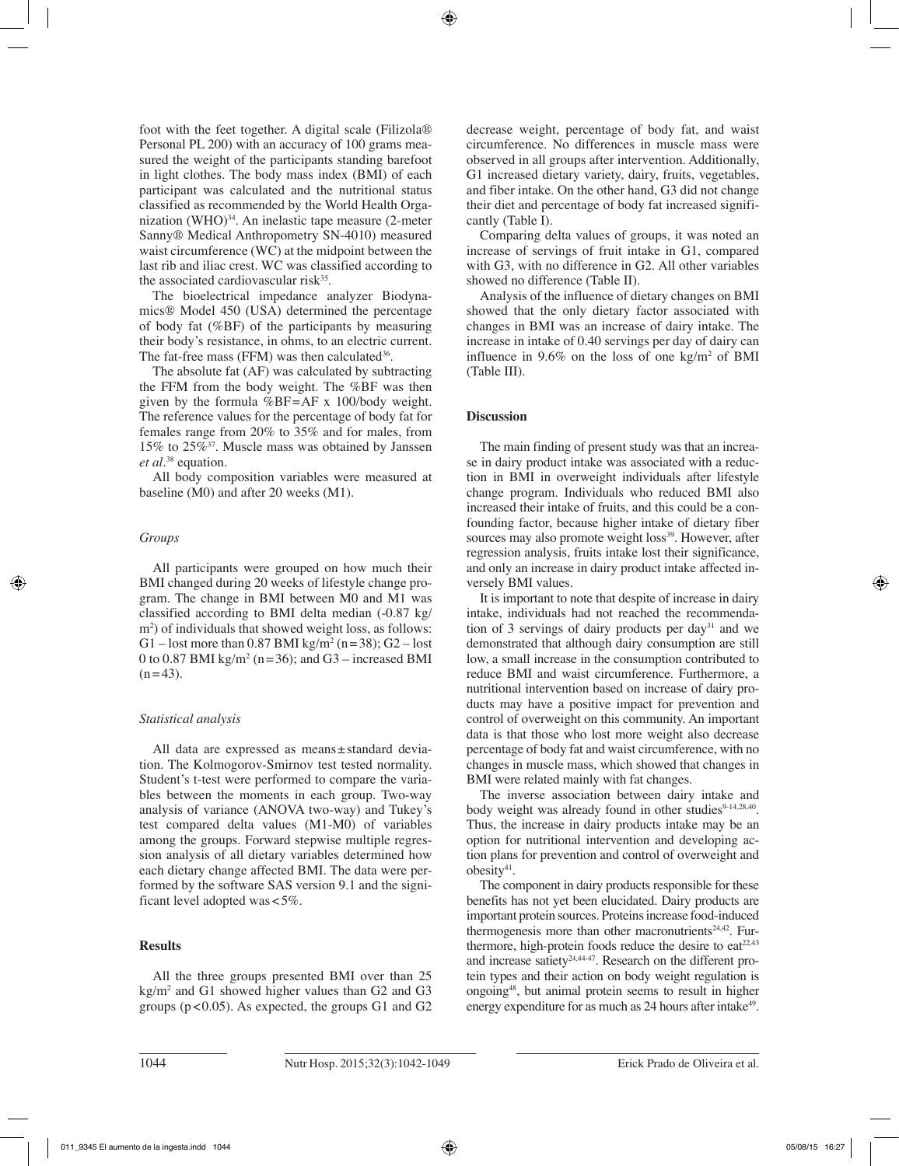foot with the feet together. A digital scale (Filizola® Personal PL 200) with an accuracy of 100 grams measured the weight of the participants standing barefoot in light clothes. The body mass index (BMI) of each participant was calculated and the nutritional status classified as recommended by the World Health Organization (WHO) $34$ . An inelastic tape measure (2-meter Sanny® Medical Anthropometry SN-4010) measured waist circumference (WC) at the midpoint between the last rib and iliac crest. WC was classified according to the associated cardiovascular risk<sup>35</sup>.

The bioelectrical impedance analyzer Biodynamics® Model 450 (USA) determined the percentage of body fat (%BF) of the participants by measuring their body's resistance, in ohms, to an electric current. The fat-free mass (FFM) was then calculated  $36$ .

The absolute fat (AF) was calculated by subtracting the FFM from the body weight. The %BF was then given by the formula %BF=AF x 100/body weight. The reference values for the percentage of body fat for females range from 20% to 35% and for males, from 15% to 25%37. Muscle mass was obtained by Janssen *et al.*38 equation.

All body composition variables were measured at baseline (M0) and after 20 weeks (M1).

# *Groups*

All participants were grouped on how much their BMI changed during 20 weeks of lifestyle change program. The change in BMI between M0 and M1 was classified according to BMI delta median (-0.87 kg/ m2 ) of individuals that showed weight loss, as follows: G1 – lost more than 0.87 BMI kg/m<sup>2</sup> (n = 38); G2 – lost 0 to 0.87 BMI  $\text{kg/m}^2$  (n=36); and G3 – increased BMI  $(n=43)$ .

## *Statistical analysis*

All data are expressed as means±standard deviation. The Kolmogorov-Smirnov test tested normality. Student's t-test were performed to compare the variables between the moments in each group. Two-way analysis of variance (ANOVA two-way) and Tukey's test compared delta values (M1-M0) of variables among the groups. Forward stepwise multiple regression analysis of all dietary variables determined how each dietary change affected BMI. The data were performed by the software SAS version 9.1 and the significant level adopted was<5%.

# **Results**

All the three groups presented BMI over than 25 kg/m2 and G1 showed higher values than G2 and G3 groups ( $p < 0.05$ ). As expected, the groups G1 and G2

decrease weight, percentage of body fat, and waist circumference. No differences in muscle mass were observed in all groups after intervention. Additionally, G1 increased dietary variety, dairy, fruits, vegetables, and fiber intake. On the other hand, G3 did not change their diet and percentage of body fat increased significantly (Table I).

Comparing delta values of groups, it was noted an increase of servings of fruit intake in G1, compared with G3, with no difference in G2. All other variables showed no difference (Table II).

Analysis of the influence of dietary changes on BMI showed that the only dietary factor associated with changes in BMI was an increase of dairy intake. The increase in intake of 0.40 servings per day of dairy can influence in 9.6% on the loss of one  $\text{kg/m}^2$  of BMI (Table III).

# **Discussion**

The main finding of present study was that an increase in dairy product intake was associated with a reduction in BMI in overweight individuals after lifestyle change program. Individuals who reduced BMI also increased their intake of fruits, and this could be a confounding factor, because higher intake of dietary fiber sources may also promote weight loss<sup>39</sup>. However, after regression analysis, fruits intake lost their significance, and only an increase in dairy product intake affected inversely BMI values.

It is important to note that despite of increase in dairy intake, individuals had not reached the recommendation of 3 servings of dairy products per day<sup>31</sup> and we demonstrated that although dairy consumption are still low, a small increase in the consumption contributed to reduce BMI and waist circumference. Furthermore, a nutritional intervention based on increase of dairy products may have a positive impact for prevention and control of overweight on this community. An important data is that those who lost more weight also decrease percentage of body fat and waist circumference, with no changes in muscle mass, which showed that changes in BMI were related mainly with fat changes.

The inverse association between dairy intake and body weight was already found in other studies<sup>9-14,28,40</sup>. Thus, the increase in dairy products intake may be an option for nutritional intervention and developing action plans for prevention and control of overweight and obesity<sup>41</sup>.

The component in dairy products responsible for these benefits has not yet been elucidated. Dairy products are important protein sources. Proteins increase food-induced thermogenesis more than other macronutrients<sup>24,42</sup>. Furthermore, high-protein foods reduce the desire to eat $22,43$ and increase satiety<sup>24,44-47</sup>. Research on the different protein types and their action on body weight regulation is ongoing48, but animal protein seems to result in higher energy expenditure for as much as 24 hours after intake<sup>49</sup>.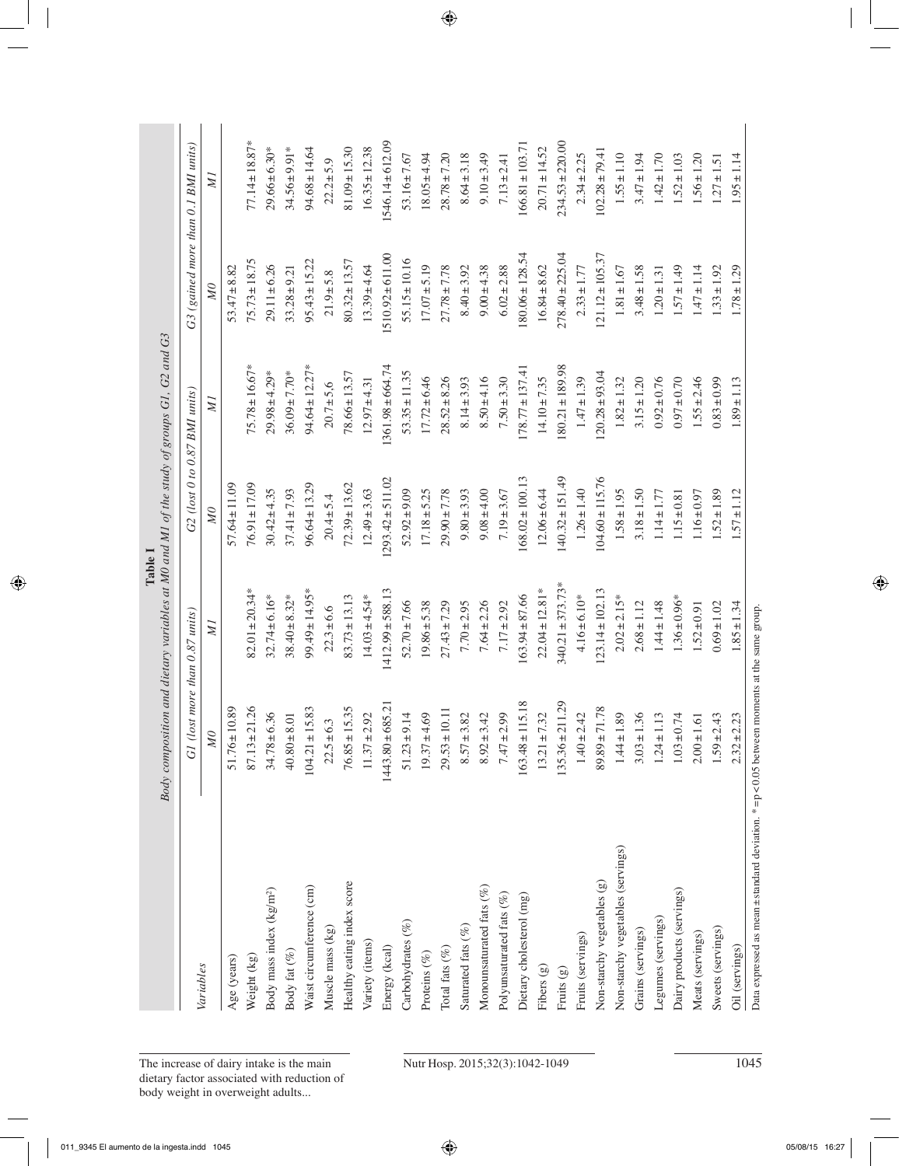| Variables                            |                       | G1 (lost more than 0.87 units) |                      | G2 (lost 0 to 0.87 BMI units) | G3 (gained more than 0.1 BMI units) |                      |
|--------------------------------------|-----------------------|--------------------------------|----------------------|-------------------------------|-------------------------------------|----------------------|
|                                      | MQ                    | $\overline{M}$                 | $\mathcal{M}$        | ИI                            | $\mathcal{M}$                       | ZГ                   |
| Age (years)                          | $51.76 \pm 10.89$     |                                | $57.64 \pm 11.09$    |                               | $53.47 \pm 8.82$                    |                      |
| Weight (kg)                          | 1.26<br>$87.13 \pm 2$ | $82.01 \pm 20.34*$             | $76.91 \pm 17.09$    | $75.78 \pm 16.67*$            | $75.73 \pm 18.75$                   | $77.14 \pm 18.87*$   |
| Body mass index (kg/m <sup>2</sup> ) | $34.78 \pm 6.36$      | $32.74 \pm 6.16*$              | $30.42 \pm 4.35$     | $29.98 \pm 4.29*$             | $29.11 \pm 6.26$                    | $29.66 \pm 6.30*$    |
| Body fat $(\%)$                      | $40.80 \pm 8.01$      | $38.40 \pm 8.32*$              | $37.41 \pm 7.93$     | $36.09 \pm 7.70*$             | $33.28 \pm 9.21$                    | $34.56 \pm 9.91*$    |
| Waist circumference (cm)             | $104.21 \pm 15.83$    | $99.49 \pm 14.95*$             | $96.64 \pm 13.29$    | $94.64 \pm 12.27*$            | $95.43 \pm 15.22$                   | $94.68 \pm 14.64$    |
| Muscle mass (kg)                     | $22.5 \pm 6.3$        | $22.3 \pm 6.6$                 | $20.4 + 5.4$         | $20.7 + 5,6$                  | $21.9 + 5.8$                        | $22.2 + 5.9$         |
| Healthy eating index score           | $76.85 \pm 15.35$     | $83.73 \pm 13.13$              | $72.39 \pm 13.62$    | $78.66 \pm 13.57$             | $80.32 \pm 13.57$                   | $81.09 \pm 15.30$    |
| Variety (items)                      | $11.37 \pm 2.92$      | $14.03 \pm 4.54*$              | $12.49 \pm 3.63$     | $12.97 \pm 4.31$              | $13.39 + 4.64$                      | $16.35 \pm 12.38$    |
| Energy (kcal)                        | $1443.80 \pm 685.21$  | $1412.99 \pm 588.13$           | $1293.42 \pm 511.02$ | 1361.98±664.74                | 1510.92±611.00                      | $1546.14 \pm 612.09$ |
| Carbohydrates (%)                    | $51.23 \pm 9.14$      | $52.70 \pm 7.66$               | $52.92 \pm 9.09$     | $53.35 \pm 11.35$             | $55.15 \pm 10.16$                   | $53.16 \pm 7.67$     |
| Proteins (%)                         | $19.37 \pm 4.69$      | $19.86 \pm 5.38$               | $17.18 + 5.25$       | $17.72 \pm 6.46$              | $17.07 \pm 5.19$                    | $18.05 \pm 4.94$     |
| Total fats $(\%)$                    | $29.53 \pm 10.11$     | $27.43 \pm 7.29$               | $29.90 \pm 7.78$     | $28.52 \pm 8.26$              | $27.78 \pm 7.78$                    | $28.78 \pm 7.20$     |
| Saturated fats (%)                   | $8.57 \pm 3.82$       | $7.70 \pm 2.95$                | $9.80 \pm 3.93$      | $8.14 \pm 3.93$               | $8.40 \pm 3.92$                     | $8.64 \pm 3.18$      |
| Monounsaturated fats $(\%)$          | $8.92 \pm 3.42$       | $7.64 \pm 2.26$                | $9.08 \pm 4.00$      | $8.50 + 4.16$                 | $9.00 \pm 4.38$                     | $9.10 \pm 3.49$      |
| Polyunsaturated fats $(\%)$          | $7.47 \pm 2.99$       | $7.17 \pm 2.92$                | $7.19 \pm 3.67$      | $7.50 \pm 3.30$               | $6.02 \pm 2.88$                     | $7.13 \pm 2.41$      |
| Dietary cholesterol (mg)             | $163.48 \pm 115.18$   | $163.94 \pm 87.66$             | $168.02 \pm 100.13$  | $178.77 \pm 137.41$           | $180.06 \pm 128.54$                 | $166.81 \pm 103.71$  |
| Fibers (g)                           | $13.21 \pm 7.32$      | $22.04 \pm 12.81*$             | $12.06 \pm 6.44$     | $14.10 \pm 7.35$              | $16.84 \pm 8.62$                    | $20.71 \pm 14.52$    |
| Fruits $(g)$                         | $135.36 \pm 211.29$   | $340.21 \pm 373.73*$           | $140.32 \pm 151.49$  | $180.21 \pm 189.98$           | $278.40 \pm 225.04$                 | $234.53 \pm 220.00$  |
| Fruits (servings)                    | $1.40 \pm 2.42$       | $4.16 \pm 6.10*$               | $1.26 \pm 1.40$      | $1.47 \pm 1.39$               | $2.33 \pm 1.77$                     | $2.34 \pm 2.25$      |
| Non-starchy vegetables (g)           | $89.89 \pm 71.78$     | $123.14 \pm 102.13$            | $104.60 \pm 115.76$  | $120.28 \pm 93.04$            | $121.12 \pm 105.37$                 | $102.28 \pm 79.41$   |
| Non-starchy vegetables (servings)    | $1.44 \pm 1.89$       | $2.02 \pm 2.15*$               | $1.58 \pm 1.95$      | $1.82 \pm 1.32$               | $1.81 \pm 1.67$                     | $1.55 \pm 1.10$      |
| Grains (servings)                    | $3.03 \pm 1.36$       | $2.68 \pm 1.12$                | $3.18 \pm 1.50$      | $3.15 \pm 1.20$               | $3.48 \pm 1.58$                     | $3.47 \pm 1.94$      |
| Legumes (servings)                   | $1.24 \pm 1.13$       | $1.44 \pm 1.48$                | $1.14 \pm 1.77$      | $0.92 \pm 0.76$               | $1.20 \pm 1.31$                     | $1.42 \pm 1.70$      |
| Dairy products (servings)            | $1.03 \pm 0.74$       | $1.36 \pm 0.96*$               | $1.15 \pm 0.81$      | $0.97 \pm 0.70$               | $1.57 \pm 1.49$                     | $1.52 \pm 1.03$      |
| Meats (servings)                     | $2.00 \pm 1.61$       | $1.52 \pm 0.91$                | $1.16 \pm 0.97$      | $1.55 \pm 2.46$               | $1.47 \pm 1.14$                     | $1.56 \pm 1.20$      |
| Sweets (servings)                    | $1.59 \pm 2.43$       | $0.69 \pm 1.02$                | $1.52 \pm 1.89$      | $0.83 \pm 0.99$               | $1.33 \pm 1.92$                     | $1.27 \pm 1.51$      |
| Oil (servings)                       | $2.32 \pm 2.23$       | $1.85 \pm 1.34$                | $1.57 \pm 1.12$      | $1.89 \pm 1.13$               | $1.78 \pm 1.29$                     | $1.95 \pm 1.14$      |

# The increase of dairy intake is the main Nutr Hosp. 2015;32(3):1042-1049 1045 dietary factor associated with reduction of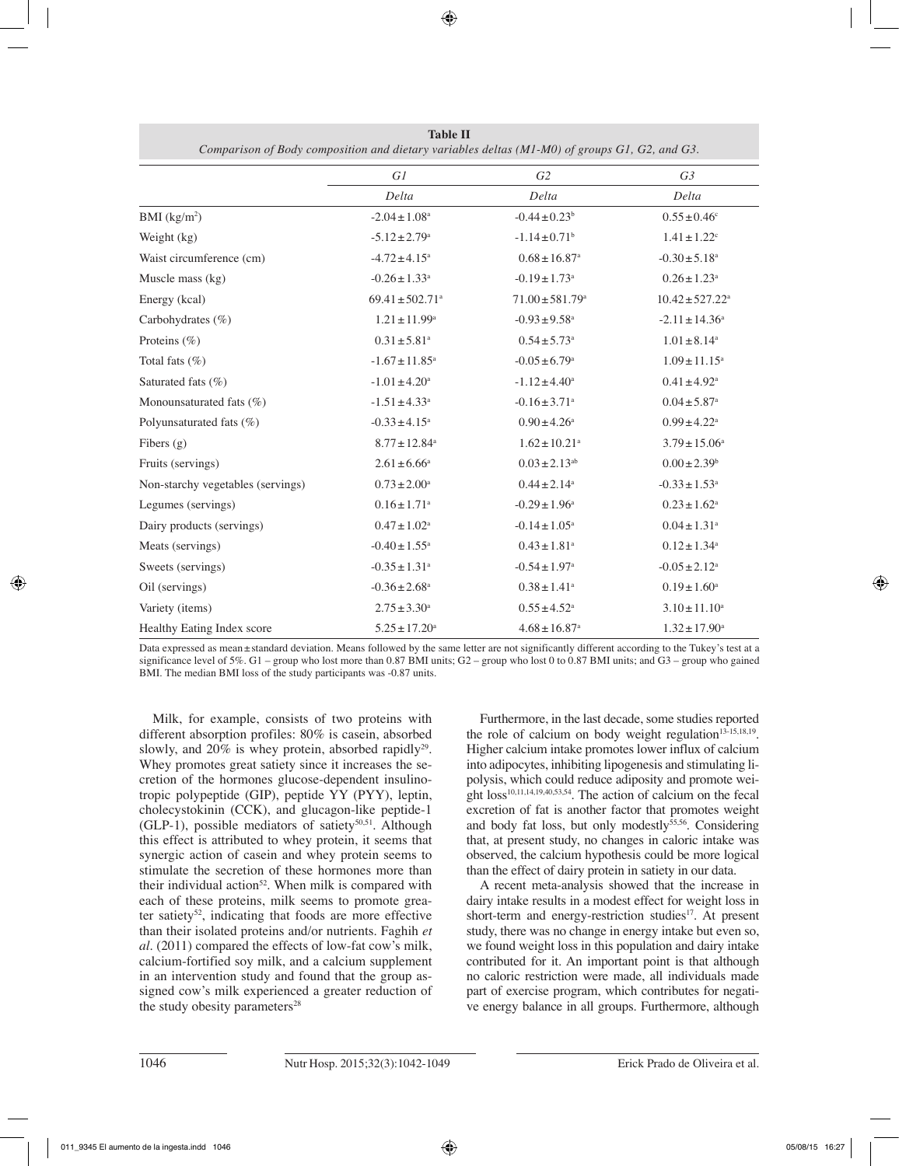|                                   | GI                              | G2                              | G <sub>3</sub>                |
|-----------------------------------|---------------------------------|---------------------------------|-------------------------------|
|                                   | Delta                           | Delta                           | Delta                         |
| BMI (kg/m <sup>2</sup> )          | $-2.04 \pm 1.08$ <sup>a</sup>   | $-0.44 \pm 0.23$ <sup>b</sup>   | $0.55 \pm 0.46$ <sup>c</sup>  |
| Weight (kg)                       | $-5.12 \pm 2.79$ <sup>a</sup>   | $-1.14 \pm 0.71$ <sup>b</sup>   | $1.41 \pm 1.22$ <sup>c</sup>  |
| Waist circumference (cm)          | $-4.72 \pm 4.15^a$              | $0.68 \pm 16.87$ <sup>a</sup>   | $-0.30 \pm 5.18$ <sup>a</sup> |
| Muscle mass (kg)                  | $-0.26 \pm 1.33$ <sup>a</sup>   | $-0.19 \pm 1.73$ <sup>a</sup>   | $0.26 \pm 1.23$ <sup>a</sup>  |
| Energy (kcal)                     | $69.41 \pm 502.71$ <sup>a</sup> | $71.00 \pm 581.79$ <sup>a</sup> | $10.42 \pm 527.22^a$          |
| Carbohydrates $(\% )$             | $1.21 \pm 11.99^{\rm a}$        | $-0.93 \pm 9.58$ <sup>a</sup>   | $-2.11 \pm 14.36^a$           |
| Proteins $(\% )$                  | $0.31 \pm 5.81$ <sup>a</sup>    | $0.54 \pm 5.73$ <sup>a</sup>    | $1.01 \pm 8.14^a$             |
| Total fats $(\%)$                 | $-1.67 \pm 11.85$ <sup>a</sup>  | $-0.05 \pm 6.79$ <sup>a</sup>   | $1.09 \pm 11.15^a$            |
| Saturated fats (%)                | $-1.01 \pm 4.20^a$              | $-1.12 \pm 4.40^a$              | $0.41 \pm 4.92$ <sup>a</sup>  |
| Monounsaturated fats (%)          | $-1.51 \pm 4.33$ <sup>a</sup>   | $-0.16 \pm 3.71$ <sup>a</sup>   | $0.04 \pm 5.87$ <sup>a</sup>  |
| Polyunsaturated fats (%)          | $-0.33 \pm 4.15^a$              | $0.90 \pm 4.26^{\circ}$         | $0.99 \pm 4.22$ <sup>a</sup>  |
| Fibers $(g)$                      | $8.77 \pm 12.84^a$              | $1.62 \pm 10.21$ <sup>a</sup>   | $3.79 \pm 15.06^a$            |
| Fruits (servings)                 | $2.61 \pm 6.66^a$               | $0.03 \pm 2.13^{ab}$            | $0.00 \pm 2.39$ <sup>b</sup>  |
| Non-starchy vegetables (servings) | $0.73 \pm 2.00^a$               | $0.44 \pm 2.14$ <sup>a</sup>    | $-0.33 \pm 1.53$ <sup>a</sup> |
| Legumes (servings)                | $0.16 \pm 1.71$ <sup>a</sup>    | $-0.29 \pm 1.96^{\mathrm{a}}$   | $0.23 \pm 1.62^a$             |
| Dairy products (servings)         | $0.47\pm1.02^{\rm a}$           | $-0.14 \pm 1.05^{\text{a}}$     | $0.04 \pm 1.31$ <sup>a</sup>  |
| Meats (servings)                  | $-0.40 \pm 1.55$ <sup>a</sup>   | $0.43 \pm 1.81$ <sup>a</sup>    | $0.12 \pm 1.34$ <sup>a</sup>  |
| Sweets (servings)                 | $-0.35 \pm 1.31$ <sup>a</sup>   | $-0.54 \pm 1.97$ <sup>a</sup>   | $-0.05 \pm 2.12$ <sup>a</sup> |
| Oil (servings)                    | $-0.36 \pm 2.68$ <sup>a</sup>   | $0.38 \pm 1.41$ <sup>a</sup>    | $0.19 \pm 1.60^{\text{a}}$    |
| Variety (items)                   | $2.75 \pm 3.30^a$               | $0.55 \pm 4.52^{\text{a}}$      | $3.10 \pm 11.10^a$            |
| Healthy Eating Index score        | $5.25 \pm 17.20^a$              | $4.68 \pm 16.87$ <sup>a</sup>   | $1.32 \pm 17.90^{\text{a}}$   |

**Table II** *Comparison of Body composition and dietary variables deltas (M1-M0) of groups G1, G2, and G3.*

Data expressed as mean±standard deviation. Means followed by the same letter are not significantly different according to the Tukey's test at a significance level of 5%. G1 – group who lost more than 0.87 BMI units; G2 – group who lost 0 to 0.87 BMI units; and G3 – group who gained BMI. The median BMI loss of the study participants was -0.87 units.

Milk, for example, consists of two proteins with different absorption profiles: 80% is casein, absorbed slowly, and  $20\%$  is whey protein, absorbed rapidly<sup>29</sup>. Whey promotes great satiety since it increases the secretion of the hormones glucose-dependent insulinotropic polypeptide (GIP), peptide YY (PYY), leptin, cholecystokinin (CCK), and glucagon-like peptide-1 (GLP-1), possible mediators of satiety<sup>50,51</sup>. Although this effect is attributed to whey protein, it seems that synergic action of casein and whey protein seems to stimulate the secretion of these hormones more than their individual action<sup>52</sup>. When milk is compared with each of these proteins, milk seems to promote greater satiety<sup>52</sup>, indicating that foods are more effective than their isolated proteins and/or nutrients. Faghih *et al.* (2011) compared the effects of low-fat cow's milk, calcium-fortified soy milk, and a calcium supplement in an intervention study and found that the group assigned cow's milk experienced a greater reduction of the study obesity parameters<sup>28</sup>

Furthermore, in the last decade, some studies reported the role of calcium on body weight regulation<sup>13-15,18,19</sup>. Higher calcium intake promotes lower influx of calcium into adipocytes, inhibiting lipogenesis and stimulating lipolysis, which could reduce adiposity and promote wei- $\frac{1}{2}$  ght loss<sup>10,11,14,19,40,53,54</sup>. The action of calcium on the fecal excretion of fat is another factor that promotes weight and body fat loss, but only modestly $55,56$ . Considering that, at present study, no changes in caloric intake was observed, the calcium hypothesis could be more logical than the effect of dairy protein in satiety in our data.

A recent meta-analysis showed that the increase in dairy intake results in a modest effect for weight loss in short-term and energy-restriction studies<sup>17</sup>. At present study, there was no change in energy intake but even so, we found weight loss in this population and dairy intake contributed for it. An important point is that although no caloric restriction were made, all individuals made part of exercise program, which contributes for negative energy balance in all groups. Furthermore, although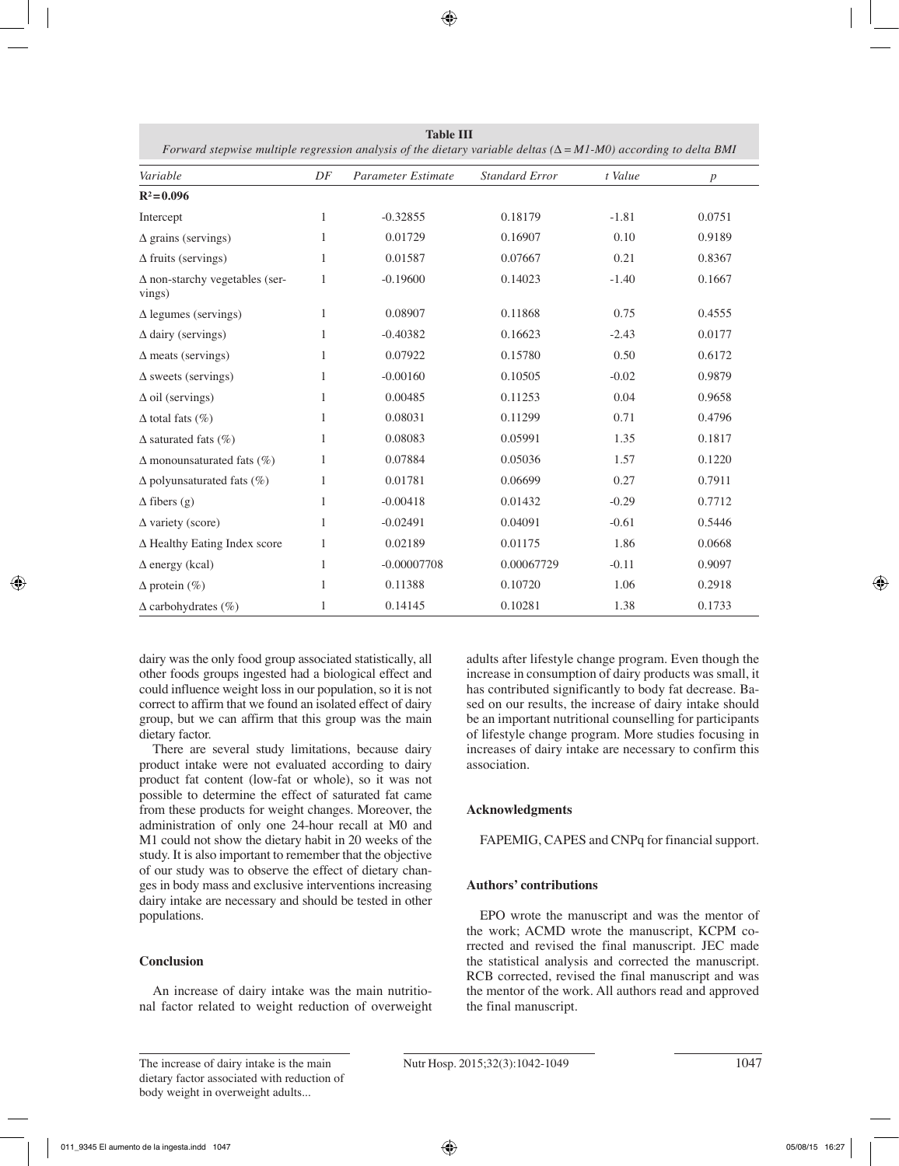| <b>Table III</b><br>Forward stepwise multiple regression analysis of the dietary variable deltas ( $\Delta = MI$ -M0) according to delta BMI |              |                    |                       |         |                  |  |
|----------------------------------------------------------------------------------------------------------------------------------------------|--------------|--------------------|-----------------------|---------|------------------|--|
| Variable                                                                                                                                     | DF           | Parameter Estimate | <b>Standard Error</b> | t Value | $\boldsymbol{p}$ |  |
| $R^2 = 0.096$                                                                                                                                |              |                    |                       |         |                  |  |
| Intercept                                                                                                                                    | $\mathbf{1}$ | $-0.32855$         | 0.18179               | $-1.81$ | 0.0751           |  |
| $\Delta$ grains (servings)                                                                                                                   | 1            | 0.01729            | 0.16907               | 0.10    | 0.9189           |  |
| $\Delta$ fruits (servings)                                                                                                                   | 1            | 0.01587            | 0.07667               | 0.21    | 0.8367           |  |
| $\Delta$ non-starchy vegetables (ser-<br>vings)                                                                                              | 1            | $-0.19600$         | 0.14023               | $-1.40$ | 0.1667           |  |
| $\Delta$ legumes (servings)                                                                                                                  | 1            | 0.08907            | 0.11868               | 0.75    | 0.4555           |  |
| $\Delta$ dairy (servings)                                                                                                                    | 1            | $-0.40382$         | 0.16623               | $-2.43$ | 0.0177           |  |
| $\Delta$ meats (servings)                                                                                                                    | 1            | 0.07922            | 0.15780               | 0.50    | 0.6172           |  |
| $\Delta$ sweets (servings)                                                                                                                   | 1            | $-0.00160$         | 0.10505               | $-0.02$ | 0.9879           |  |
| $\Delta$ oil (servings)                                                                                                                      | 1            | 0.00485            | 0.11253               | 0.04    | 0.9658           |  |
| $\Delta$ total fats (%)                                                                                                                      | 1            | 0.08031            | 0.11299               | 0.71    | 0.4796           |  |
| $\Delta$ saturated fats (%)                                                                                                                  | 1            | 0.08083            | 0.05991               | 1.35    | 0.1817           |  |
| $\Delta$ monounsaturated fats (%)                                                                                                            | $\mathbf{1}$ | 0.07884            | 0.05036               | 1.57    | 0.1220           |  |
| $\Delta$ polyunsaturated fats (%)                                                                                                            | $\mathbf{1}$ | 0.01781            | 0.06699               | 0.27    | 0.7911           |  |
| $\Delta$ fibers (g)                                                                                                                          | $\mathbf{1}$ | $-0.00418$         | 0.01432               | $-0.29$ | 0.7712           |  |
| $\Delta$ variety (score)                                                                                                                     | 1            | $-0.02491$         | 0.04091               | $-0.61$ | 0.5446           |  |
| $\Delta$ Healthy Eating Index score                                                                                                          | 1            | 0.02189            | 0.01175               | 1.86    | 0.0668           |  |
| $\Delta$ energy (kcal)                                                                                                                       | $\mathbf{1}$ | $-0.00007708$      | 0.00067729            | $-0.11$ | 0.9097           |  |
| $\Delta$ protein (%)                                                                                                                         | $\mathbf{1}$ | 0.11388            | 0.10720               | 1.06    | 0.2918           |  |
| $\Delta$ carbohydrates (%)                                                                                                                   | 1            | 0.14145            | 0.10281               | 1.38    | 0.1733           |  |

dairy was the only food group associated statistically, all other foods groups ingested had a biological effect and could influence weight loss in our population, so it is not correct to affirm that we found an isolated effect of dairy group, but we can affirm that this group was the main dietary factor.

There are several study limitations, because dairy product intake were not evaluated according to dairy product fat content (low-fat or whole), so it was not possible to determine the effect of saturated fat came from these products for weight changes. Moreover, the administration of only one 24-hour recall at M0 and M1 could not show the dietary habit in 20 weeks of the study. It is also important to remember that the objective of our study was to observe the effect of dietary changes in body mass and exclusive interventions increasing dairy intake are necessary and should be tested in other populations.

## **Conclusion**

An increase of dairy intake was the main nutritional factor related to weight reduction of overweight adults after lifestyle change program. Even though the increase in consumption of dairy products was small, it has contributed significantly to body fat decrease. Based on our results, the increase of dairy intake should be an important nutritional counselling for participants of lifestyle change program. More studies focusing in increases of dairy intake are necessary to confirm this association.

# **Acknowledgments**

FAPEMIG, CAPES and CNPq for financial support.

# **Authors' contributions**

EPO wrote the manuscript and was the mentor of the work; ACMD wrote the manuscript, KCPM corrected and revised the final manuscript. JEC made the statistical analysis and corrected the manuscript. RCB corrected, revised the final manuscript and was the mentor of the work. All authors read and approved the final manuscript.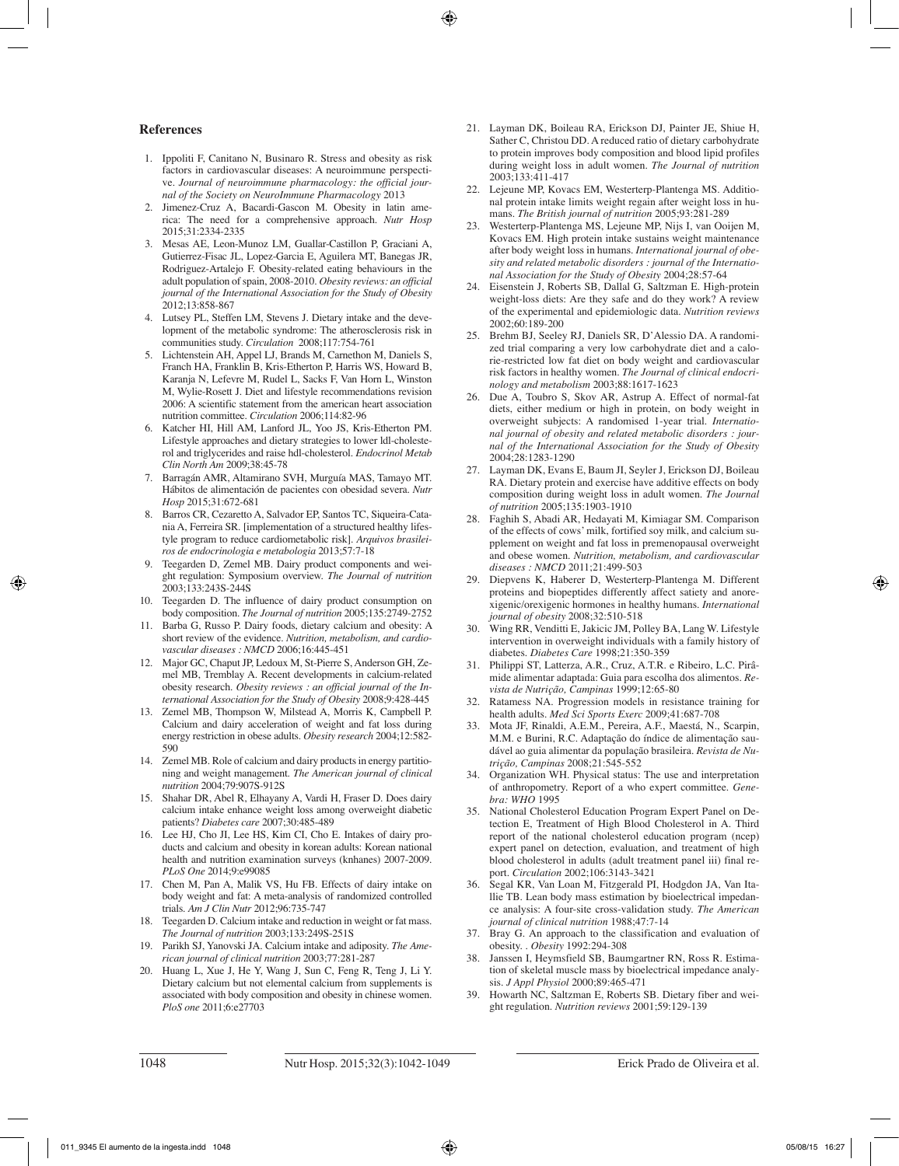#### **References**

- 1. Ippoliti F, Canitano N, Businaro R. Stress and obesity as risk factors in cardiovascular diseases: A neuroimmune perspective. *Journal of neuroimmune pharmacology: the official journal of the Society on NeuroImmune Pharmacology* 2013
- 2. Jimenez-Cruz A, Bacardi-Gascon M. Obesity in latin america: The need for a comprehensive approach. *Nutr Hosp* 2015;31:2334-2335
- 3. Mesas AE, Leon-Munoz LM, Guallar-Castillon P, Graciani A, Gutierrez-Fisac JL, Lopez-Garcia E, Aguilera MT, Banegas JR, Rodriguez-Artalejo F. Obesity-related eating behaviours in the adult population of spain, 2008-2010. *Obesity reviews: an official journal of the International Association for the Study of Obesity* 2012;13:858-867
- 4. Lutsey PL, Steffen LM, Stevens J. Dietary intake and the development of the metabolic syndrome: The atherosclerosis risk in communities study. *Circulation* 2008;117:754-761
- 5. Lichtenstein AH, Appel LJ, Brands M, Carnethon M, Daniels S, Franch HA, Franklin B, Kris-Etherton P, Harris WS, Howard B, Karanja N, Lefevre M, Rudel L, Sacks F, Van Horn L, Winston M, Wylie-Rosett J. Diet and lifestyle recommendations revision 2006: A scientific statement from the american heart association nutrition committee. *Circulation* 2006;114:82-96
- 6. Katcher HI, Hill AM, Lanford JL, Yoo JS, Kris-Etherton PM. Lifestyle approaches and dietary strategies to lower ldl-cholesterol and triglycerides and raise hdl-cholesterol. *Endocrinol Metab Clin North Am* 2009;38:45-78
- 7. Barragán AMR, Altamirano SVH, Murguía MAS, Tamayo MT. Hábitos de alimentación de pacientes con obesidad severa. *Nutr Hosp* 2015;31:672-681
- 8. Barros CR, Cezaretto A, Salvador EP, Santos TC, Siqueira-Catania A, Ferreira SR. [implementation of a structured healthy lifestyle program to reduce cardiometabolic risk]. *Arquivos brasileiros de endocrinologia e metabologia* 2013;57:7-18
- 9. Teegarden D, Zemel MB. Dairy product components and weight regulation: Symposium overview. *The Journal of nutrition*  2003;133:243S-244S
- 10. Teegarden D. The influence of dairy product consumption on body composition. *The Journal of nutrition* 2005;135:2749-2752
- 11. Barba G, Russo P. Dairy foods, dietary calcium and obesity: A short review of the evidence. *Nutrition, metabolism, and cardiovascular diseases : NMCD* 2006;16:445-451
- 12. Major GC, Chaput JP, Ledoux M, St-Pierre S, Anderson GH, Zemel MB, Tremblay A. Recent developments in calcium-related obesity research. *Obesity reviews : an official journal of the International Association for the Study of Obesity* 2008;9:428-445
- 13. Zemel MB, Thompson W, Milstead A, Morris K, Campbell P. Calcium and dairy acceleration of weight and fat loss during energy restriction in obese adults. *Obesity research* 2004;12:582- 590
- 14. Zemel MB. Role of calcium and dairy products in energy partitioning and weight management. *The American journal of clinical nutrition* 2004;79:907S-912S
- 15. Shahar DR, Abel R, Elhayany A, Vardi H, Fraser D. Does dairy calcium intake enhance weight loss among overweight diabetic patients? *Diabetes care* 2007;30:485-489
- 16. Lee HJ, Cho JI, Lee HS, Kim CI, Cho E. Intakes of dairy products and calcium and obesity in korean adults: Korean national health and nutrition examination surveys (knhanes) 2007-2009. *PLoS One* 2014;9:e99085
- 17. Chen M, Pan A, Malik VS, Hu FB. Effects of dairy intake on body weight and fat: A meta-analysis of randomized controlled trials. *Am J Clin Nutr* 2012;96:735-747
- 18. Teegarden D. Calcium intake and reduction in weight or fat mass. *The Journal of nutrition* 2003;133:249S-251S
- 19. Parikh SJ, Yanovski JA. Calcium intake and adiposity. *The American journal of clinical nutrition* 2003;77:281-287
- 20. Huang L, Xue J, He Y, Wang J, Sun C, Feng R, Teng J, Li Y. Dietary calcium but not elemental calcium from supplements is associated with body composition and obesity in chinese women. *PloS one* 2011;6:e27703
- 21. Layman DK, Boileau RA, Erickson DJ, Painter JE, Shiue H, Sather C, Christou DD. A reduced ratio of dietary carbohydrate to protein improves body composition and blood lipid profiles during weight loss in adult women. *The Journal of nutrition*  2003;133:411-417
- 22. Lejeune MP, Kovacs EM, Westerterp-Plantenga MS. Additional protein intake limits weight regain after weight loss in humans. *The British journal of nutrition* 2005;93:281-289
- 23. Westerterp-Plantenga MS, Lejeune MP, Nijs I, van Ooijen M, Kovacs EM. High protein intake sustains weight maintenance after body weight loss in humans. *International journal of obesity and related metabolic disorders : journal of the International Association for the Study of Obesity* 2004;28:57-64
- 24. Eisenstein J, Roberts SB, Dallal G, Saltzman E. High-protein weight-loss diets: Are they safe and do they work? A review of the experimental and epidemiologic data. *Nutrition reviews*  2002;60:189-200
- 25. Brehm BJ, Seeley RJ, Daniels SR, D'Alessio DA. A randomized trial comparing a very low carbohydrate diet and a calorie-restricted low fat diet on body weight and cardiovascular risk factors in healthy women. *The Journal of clinical endocrinology and metabolism* 2003;88:1617-1623
- 26. Due A, Toubro S, Skov AR, Astrup A. Effect of normal-fat diets, either medium or high in protein, on body weight in overweight subjects: A randomised 1-year trial. *International journal of obesity and related metabolic disorders : journal of the International Association for the Study of Obesity*  2004;28:1283-1290
- 27. Layman DK, Evans E, Baum JI, Seyler J, Erickson DJ, Boileau RA. Dietary protein and exercise have additive effects on body composition during weight loss in adult women. *The Journal of nutrition* 2005;135:1903-1910
- 28. Faghih S, Abadi AR, Hedayati M, Kimiagar SM. Comparison of the effects of cows' milk, fortified soy milk, and calcium supplement on weight and fat loss in premenopausal overweight and obese women. *Nutrition, metabolism, and cardiovascular diseases : NMCD* 2011;21:499-503
- 29. Diepvens K, Haberer D, Westerterp-Plantenga M. Different proteins and biopeptides differently affect satiety and anorexigenic/orexigenic hormones in healthy humans. *International journal of obesity* 2008;32:510-518
- 30. Wing RR, Venditti E, Jakicic JM, Polley BA, Lang W. Lifestyle intervention in overweight individuals with a family history of diabetes. *Diabetes Care* 1998;21:350-359
- 31. Philippi ST, Latterza, A.R., Cruz, A.T.R. e Ribeiro, L.C. Pirâmide alimentar adaptada: Guia para escolha dos alimentos. *Revista de Nutrição, Campinas* 1999;12:65-80
- 32. Ratamess NA. Progression models in resistance training for health adults. *Med Sci Sports Exerc* 2009;41:687-708
- 33. Mota JF, Rinaldi, A.E.M., Pereira, A.F., Maestá, N., Scarpin, M.M. e Burini, R.C. Adaptação do índice de alimentação saudável ao guia alimentar da população brasileira. *Revista de Nutrição, Campinas* 2008;21:545-552
- 34. Organization WH. Physical status: The use and interpretation of anthropometry. Report of a who expert committee. *Genebra: WHO* 1995
- 35. National Cholesterol Education Program Expert Panel on Detection E, Treatment of High Blood Cholesterol in A. Third report of the national cholesterol education program (ncep) expert panel on detection, evaluation, and treatment of high blood cholesterol in adults (adult treatment panel iii) final report. *Circulation* 2002;106:3143-3421
- 36. Segal KR, Van Loan M, Fitzgerald PI, Hodgdon JA, Van Itallie TB. Lean body mass estimation by bioelectrical impedance analysis: A four-site cross-validation study. *The American journal of clinical nutrition* 1988;47:7-14
- 37. Bray G. An approach to the classification and evaluation of obesity. . *Obesity* 1992:294-308
- 38. Janssen I, Heymsfield SB, Baumgartner RN, Ross R. Estimation of skeletal muscle mass by bioelectrical impedance analysis. *J Appl Physiol* 2000;89:465-471
- Howarth NC, Saltzman E, Roberts SB. Dietary fiber and weight regulation. *Nutrition reviews* 2001;59:129-139